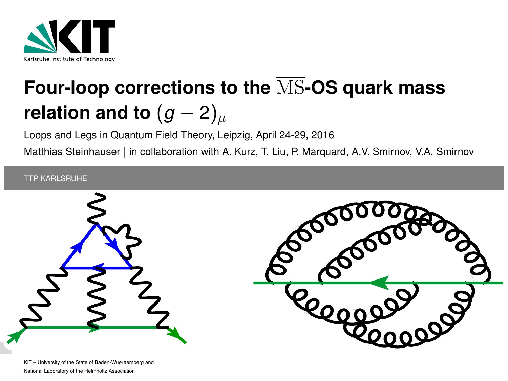

# **Four-loop corrections to the** MS**-OS quark mass relation and to**  $(g-2)_{\mu}$

Loops and Legs in Quantum Field Theory, Leipzig, April 24-29, 2016

Matthias Steinhauser | in collaboration with A. Kurz, T. Liu, P. Marquard, A.V. Smirnov, V.A. Smirnov

#### TTP KARLSRUHE

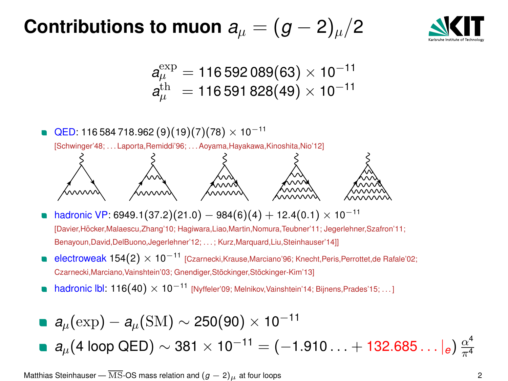#### **Contributions to muon**  $a_u = (g-2)_u/2$



$$
a_{\mu}^{\rm exp}=116\,592\,089(63)\times10^{-11}\\ a_{\mu}^{\rm th}=116\,591\,828(49)\times10^{-11}
$$

- **QED:** 116 584 718.962 (9)(19)(7)(78)  $\times$  10<sup>-11</sup> [Schwinger'48; . . . Laporta,Remiddi'96; . . . Aoyama,Hayakawa,Kinoshita,Nio'12]
- hadronic VP: 6949.1(37.2)(21.0) 984(6)(4) + 12.4(0.1)  $\times$  10<sup>-11</sup>

[Davier,Hocker,Malaescu,Zhang'10; Hagiwara,Liao,Martin,Nomura,T ¨ eubner'11; Jegerlehner,Szafron'11; Benayoun,David,DelBuono,Jegerlehner'12; . . . ; Kurz,Marquard,Liu,Steinhauser'14]]

- electroweak 154(2) × 10<sup>-11</sup> [Czarnecki,Krause,Marciano'96; Knecht, Peris, Perrottet, de Rafale'02; Czarnecki,Marciano,Vainshtein'03; Gnendiger,Stöckinger,Stöckinger-Kim'13]
- hadronic lbl: 116(40) × 10<sup>-11</sup> [Nyffeler'09; Melnikov, Vainshtein'14; Bijnens, Prades'15; ...1

■ 
$$
a_{\mu}(\exp) - a_{\mu}(\text{SM}) \sim 250(90) \times 10^{-11}
$$
  
■  $a_{\mu}$ (4 loop QED) ~ 381 × 10<sup>-11</sup> = (-1.910... + 132.685...|*e*)  $\frac{\alpha^4}{\pi^4}$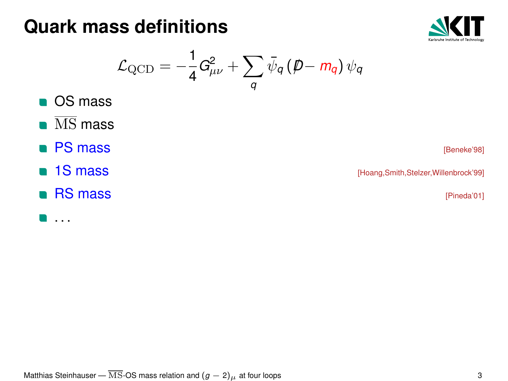#### **Quark mass definitions**



$$
\mathcal{L}_{\text{QCD}} = -\frac{1}{4} G_{\mu\nu}^2 + \sum_q \bar{\psi}_q \left(\rlap{/}{\not p} - m_q \right) \psi_q
$$

- **OS** mass
- $\overline{\text{MS}}$  mass
- **PS mass** [Beneke'98]
- 
- RS mass [Pineda'01]

**1S mass 1S mass <b>18** mass **in the set of the set of the set of the set of the set of the set of the set of the set of the set of the set of the set of the set of the set of the set of the set of the set of the set of th** 

. . .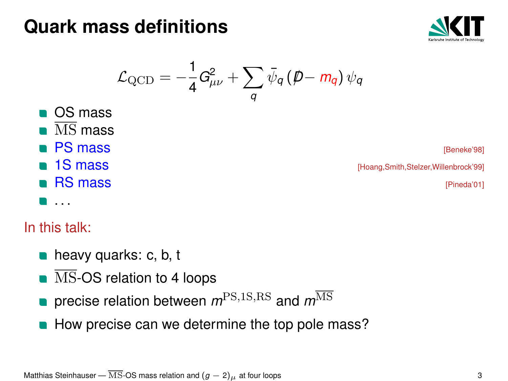#### **Quark mass definitions**



$$
\mathcal{L}_{\mathrm{QCD}} = -\frac{1}{4}G_{\mu\nu}^2 + \sum_{q}\bar{\psi}_{q}\left(\rlap{/}D - m_{q}\right)\psi_{q}
$$

■ OS mass  $\overline{\text{MS}}$  mass **PS mass** [Beneke'98] **1S mass and Secure 2018 1S mass** *and Secure 1S* **mass** *(Hoang,Smith,Stelzer,Willenbrock'99)* **RS mass and the experimental experiment of the experimental experimental experimental experimental experimental experimental experimental experimental experimental experimental experimental experimental experimental exper** . . .

#### In this talk:

- $\blacksquare$  heavy quarks: c, b, t
- $\overline{\text{MS}}$ -OS relation to 4 loops
- **precise relation between**  $m<sup>PS,1S,RS</sup>$  and  $m<sup>MS</sup>$
- How precise can we determine the top pole mass?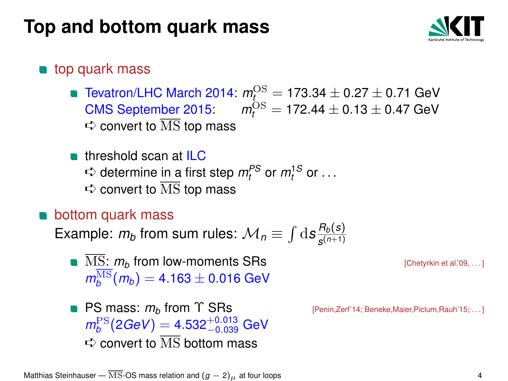#### **Top and bottom quark mass**



#### **top quark mass**

- $T$ evatron/LHC March 2014:  $m_{t_{\alpha}}^{\text{OS}} = 173.34 \pm 0.27 \pm 0.71$  GeV  $CMS$  September 2015:  $m_t^{\text{OS}} = 172.44 \pm 0.13 \pm 0.47$  GeV  $\Leftrightarrow$  convert to  $\overline{\text{MS}}$  top mass
- **threshold scan at ILC**  $\Rightarrow$  determine <u>in a</u> first step  $m_t^{PS}$  or  $m_t^{1S}$  or ...  $\Leftrightarrow$  convert to  $\overline{\text{MS}}$  top mass

#### bottom quark mass

Example:  $m_b$  from sum rules:  $\mathcal{M}_n \equiv \int \mathrm{d}s \frac{R_b(s)}{s^{(n+1)}}$ *s* (*n*+1)

- $\blacksquare$  MS:  $m_b$  from low-moments SRs  $\blacksquare$  [Chetyrkin et al.'09, ...]  $m_b^{\overline{\rm MS}}(m_b) =$  4.163  $\pm$  0.016 GeV
- **PS mass:**  $m_b$  **from**  $\Upsilon$  **SRs** [Penin,Zerf'14; Beneke,Maier,Piclum,Rauh'15; ...]  $m_b^{\rm PS}$ (2*GeV*) = 4.532<sup>+0.013</sup> GeV  $\Rightarrow$  convert to  $\overline{\text{MS}}$  bottom mass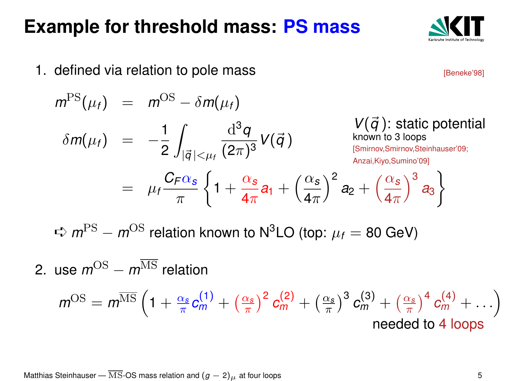#### **Example for threshold mass: PS mass**

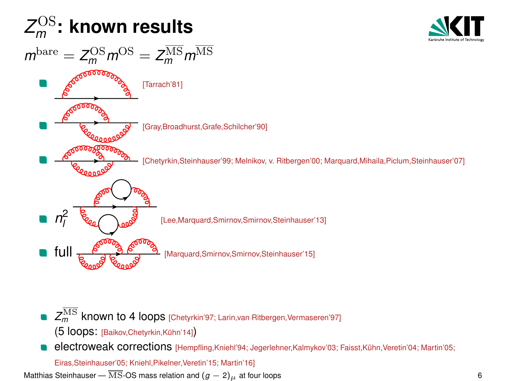

- $Z_m^{\overline{\rm MS}}$  **known to 4 loops** [Chetyrkin'97; Larin,van Ritbergen,Vermaseren'97] (5 loops: [Baikov,Chetyrkin,Kühn'14])
- electroweak corrections [Hempfling,Kniehl'94; Jegerlehner,Kalmykov'03; Faisst,Kühn,Veretin'04; Martin'05;

Eiras,Steinhauser'05; Kniehl,Pikelner,Veretin'15; Martin'16]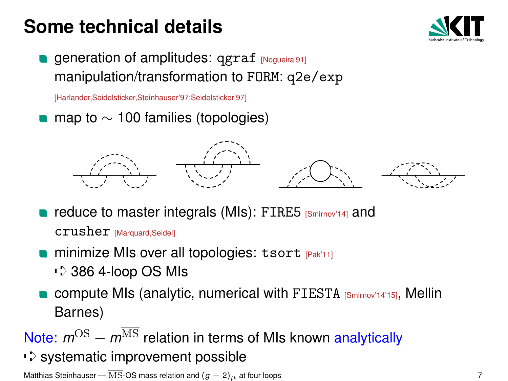#### **Some technical details**



**generation of amplitudes: qgraf [Nogueira'91]** manipulation/transformation to FORM: q2e/exp

[Harlander,Seidelsticker,Steinhauser'97;Seidelsticker'97]

map to  $\sim$  100 families (topologies)



- **reduce to master integrals (MIs): FIRE5** [Smirnov'14] and crusher [Marquard,Seidel]
- minimize MIs over all topologies: tsort reak'11]  $\Rightarrow$  386 4-loop OS MIs
- compute MIs (analytic, numerical with FIESTA [Smirnov'14'15], Mellin Barnes)

Note:  $m^{OS} - m^{\overline{MS}}$  relation in terms of MIs known analytically

 $\Rightarrow$  systematic improvement possible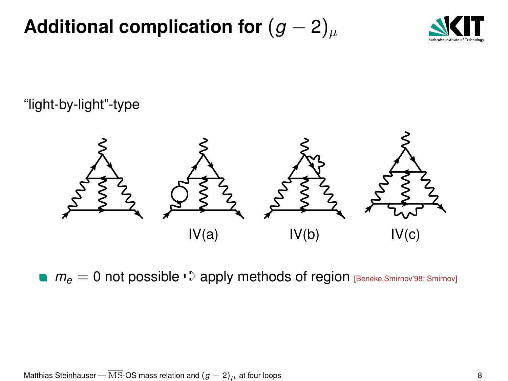**Additional complication for**  $(g - 2)_{\mu}$ 



#### "light-by-light"-type



**n**  $m_e = 0$  not possible  $\Rightarrow$  apply methods of region [Beneke,Smirnov'98; Smirnov]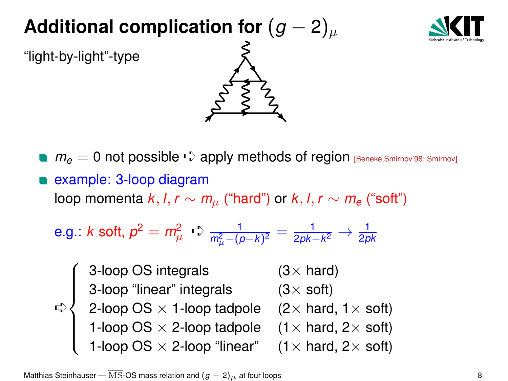#### **Additional complication for**  $(g - 2)_{\mu}$



"light-by-light"-type



**n**  $m_e = 0$  not possible  $\Rightarrow$  apply methods of region [Beneke,Smirnov'98; Smirnov]

**example: 3-loop diagram** loop momenta  $k, l, r \sim m_\mu$  ("hard") or  $k, l, r \sim m_e$  ("soft")

e.g.: *k* soft, 
$$
p^2 = m_\mu^2 \Rightarrow \frac{1}{m_\mu^2 - (p-k)^2} = \frac{1}{2pk - k^2} \rightarrow \frac{1}{2pk}
$$

➪  $\sqrt{ }$  $\Big\}$  $\overline{\mathcal{L}}$ 3-loop OS integrals  $(3\times$  hard) 3-loop "linear" integrals  $(3\times$  soft) 2-loop OS  $\times$  1-loop tadpole (2 $\times$  hard, 1 $\times$  soft) 1-loop OS  $\times$  2-loop tadpole (1 $\times$  hard, 2 $\times$  soft) 1-loop OS  $\times$  2-loop "linear" (1 $\times$  hard, 2 $\times$  soft)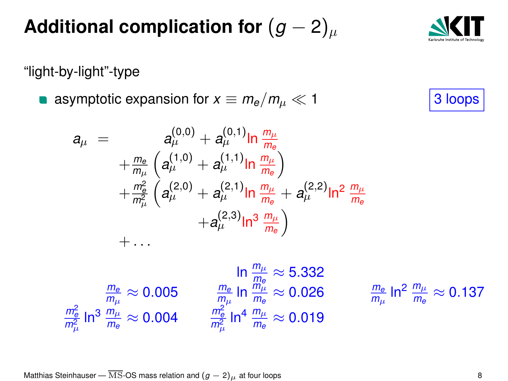Matthias Steinhauser —  $\overline{\text{MS}}$ -OS mass relation and  $(g - 2)_{\mu}$  at four loops 8

#### **Additional complication for**  $(g - 2)_{\mu}$

"light-by-light"-type

**a** asymptotic expansion for  $x \equiv m_e/m_\mu \ll 1$  3 loops

$$
a_{\mu} = a_{\mu}^{(0,0)} + a_{\mu}^{(0,1)} \ln \frac{m_{\mu}}{m_{e}} + \frac{m_{e}}{m_{\mu}} \left( a_{\mu}^{(1,0)} + a_{\mu}^{(1,1)} \ln \frac{m_{\mu}}{m_{e}} \right) + \frac{m_{e}^{2}}{m_{\mu}^{2}} \left( a_{\mu}^{(2,0)} + a_{\mu}^{(2,1)} \ln \frac{m_{\mu}}{m_{e}} + a_{\mu}^{(2,2)} \ln^{2} \frac{m_{\mu}}{m_{e}} \right) + \dots
$$

$$
\ln \frac{m_{\mu}}{m_{\mu}} \approx 5.332
$$
  

$$
\frac{m_{\rm e}}{m_{\mu}} \approx 0.005 \qquad \frac{m_{\rm e}}{m_{\mu}} \ln \frac{m_{\mu}}{m_{\rm e}} \approx 5.332
$$
  

$$
\frac{m_{\rm e}^2}{m_{\mu}^2} \ln^3 \frac{m_{\mu}}{m_{\rm e}} \approx 0.004 \qquad \frac{m_{\rm e}^2}{m_{\mu}^2} \ln^4 \frac{m_{\mu}}{m_{\rm e}} \approx 0.019
$$

 $\approx$  0.026  $\frac{m_e}{m_\mu}$  In<sup>2</sup>  $\frac{m_\mu}{m_e} \approx$  0.137



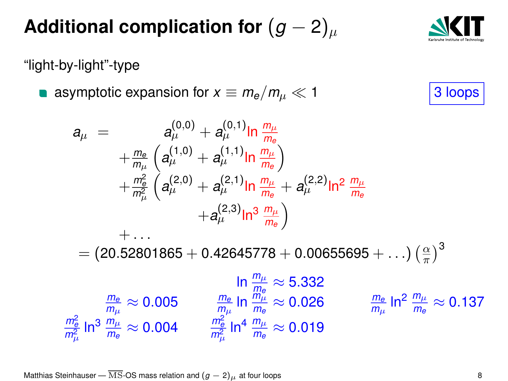Matthias Steinhauser —  $\overline{\text{MS}}$ -OS mass relation and  $(g - 2)_{\mu}$  at four loops 8

#### **Additional complication for**  $(g - 2)_{\mu}$

"light-by-light"-type

**a** asymptotic expansion for  $x \equiv m_e/m_\mu \ll 1$  3 loops

 $\frac{m_e}{m_e} \sim 0.005$   $\frac{m_e}{m_e}$  In  $\frac{m_\theta}{m_\mu}$ 

 $\frac{m_{\rm e}^2}{m_{\rm e}^2}\ln^3\frac{m_{\mu}}{m_{\rm e}}\approx 0.004 \qquad \frac{m_{\rm e}^2}{m_{\mu}^2}\ln^4\frac{m_{\mu}}{m_{\rm e}}\approx 0.019$ 

$$
a_{\mu} = a_{\mu}^{(0,0)} + a_{\mu}^{(0,1)} \ln \frac{m_{\mu}}{m_{e}} + \frac{m_{e}}{m_{\mu}} \left( a_{\mu}^{(1,0)} + a_{\mu}^{(1,1)} \ln \frac{m_{\mu}}{m_{e}} \right) + \frac{m_{e}^{2}}{m_{\mu}^{2}} \left( a_{\mu}^{(2,0)} + a_{\mu}^{(2,1)} \ln \frac{m_{\mu}}{m_{e}} + a_{\mu}^{(2,2)} \ln^{2} \frac{m_{\mu}}{m_{e}} + a_{\mu}^{(2,3)} \ln^{3} \frac{m_{\mu}}{m_{e}} \right) + \dots
$$

 $= (20.52801865 + 0.42645778 + 0.00655695 + ...)$  $\frac{\alpha}{\pi}$ )<sup>3</sup>

 $\ln \frac{m_\mu}{m_\text{o}} \approx 5.332$ 

$$
\frac{m_e}{m_\mu}\approx 0.005 \qquad \frac{m_e}{m_\mu}\ln\frac{\ddot{m}_\mu^e}{m_e}\approx 0.026 \qquad \frac{m_e}{m_\mu}\ln^2\frac{m_\mu}{m_e}\approx 0.137
$$

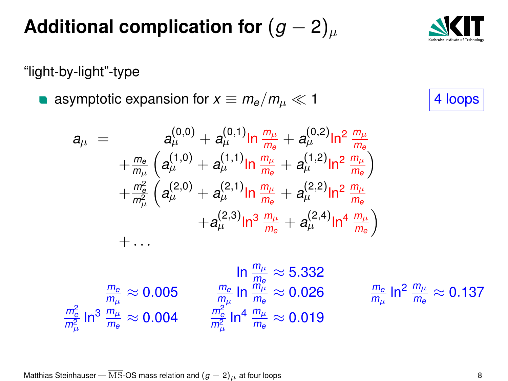Matthias Steinhauser — MS-OS mass relation and  $(g - 2)_{\mu}$  at four loops 8

#### **Additional complication for**  $(g - 2)_{\mu}$

"light-by-light"-type

asymptotic expansion for  $x \equiv m_e/m_\mu \ll 1$  4 loops

$$
a_{\mu} = a_{\mu}^{(0,0)} + a_{\mu}^{(0,1)} \ln \frac{m_{\mu}}{m_{e}} + a_{\mu}^{(0,2)} \ln^{2} \frac{m_{\mu}}{m_{e}} + \frac{m_{e}}{m_{\mu}} \left( a_{\mu}^{(1,0)} + a_{\mu}^{(1,1)} \ln \frac{m_{\mu}}{m_{e}} + a_{\mu}^{(1,2)} \ln^{2} \frac{m_{\mu}}{m_{e}} \right) + \frac{m_{e}^{2}}{m_{\mu}^{2}} \left( a_{\mu}^{(2,0)} + a_{\mu}^{(2,1)} \ln \frac{m_{\mu}}{m_{e}} + a_{\mu}^{(2,2)} \ln^{2} \frac{m_{\mu}}{m_{e}} + a_{\mu}^{(2,3)} \ln^{3} \frac{m_{\mu}}{m_{e}} + a_{\mu}^{(2,4)} \ln^{4} \frac{m_{\mu}}{m_{e}} \right) + \dots
$$

ln  $\frac{m_\mu}{\overline{m}_e} \approx 5.332$ *m<sup>e</sup>*  $\frac{m_e}{m_\mu} \approx 0.005$   $\frac{m_e}{m_\mu} \ln \frac{\ddot{m}^{\nu}_{\mu}}{m_e} \approx 0.026$   $\frac{m_e}{m_\mu}$  $\frac{m_{\rm e}^2}{m_{\rm e}^2}\ln^3\frac{m_{\mu}}{m_{\rm e}}\approx 0.004 \qquad \frac{m_{\rm e}^2}{m_{\mu}^2}\ln^4\frac{m_{\mu}}{m_{\rm e}}\approx 0.019$ 

 $\frac{m_{\rm e}}{m_{\mu}}$  In $^2$   $\frac{m_{\mu}}{m_{\rm e}} \approx 0.137$ 



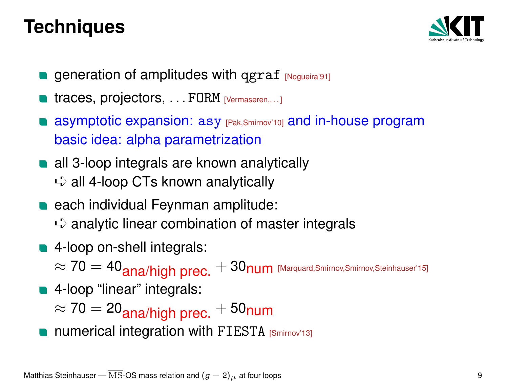#### **Techniques**



- **generation of amplitudes with qgraf [Nogueira'91]**
- $\blacksquare$  traces, projectors, ... FORM [Vermaseren,...]
- asymptotic expansion: asy [Pak,Smirnov'10] and in-house program basic idea: alpha parametrization
- all 3-loop integrals are known analytically  $\Rightarrow$  all 4-loop CTs known analytically
- each individual Feynman amplitude:  $\Rightarrow$  analytic linear combination of master integrals
- 4-loop on-shell integrals:

 $\approx 70 = 40$ <sub>ana</sub>/high prec.  $+30$ num [Marquard,Smirnov,Smirnov,Steinhauser'15]

**4-loop** "linear" integrals:

 $\approx 70 = 20$ <sub>ana</sub>/high prec.  $+50$ num

numerical integration with FIESTA [Smirnov'13]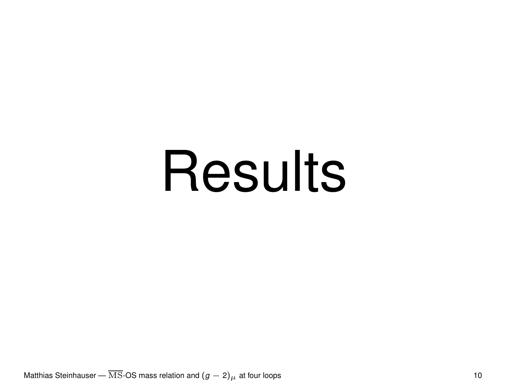# **Results**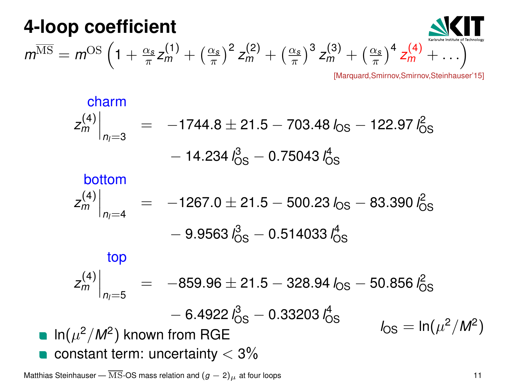**4-loop coefficient**  
\n
$$
m^{\overline{\rm MS}} = m^{\rm OS} \left(1 + \frac{\alpha_s}{\pi} z_m^{(1)} + \left(\frac{\alpha_s}{\pi}\right)^2 z_m^{(2)} + \left(\frac{\alpha_s}{\pi}\right)^3 z_m^{(3)} + \left(\frac{\alpha_s}{\pi}\right)^4 z_m^{(4)} + \ldots\right)
$$
\n
$$
\underbrace{\text{Maxquard}, \text{Simirov}, \text{Sieninauser'15}}_{\text{Maxquard}, \text{Simirov}, \text{Sieninauser'15}}
$$

$$
\begin{array}{rcl}\n\text{charm} \\
Z_m^{(4)}\Big|_{n_1=3} &=& -1744.8 \pm 21.5 - 703.48 \, \text{log} - 122.97 \, \text{log} \\
&- 14.234 \, \text{log} - 0.75043 \, \text{log}\n\end{array}
$$

bottom  
\n
$$
z_m^{(4)}\Big|_{n_1=4} = -1267.0 \pm 21.5 - 500.23 I_{OS} - 83.390 I_{OS}^2
$$
\n
$$
- 9.9563 I_{OS}^3 - 0.514033 I_{OS}^4
$$
\ntop  
\n
$$
z_m^{(4)}\Big|_{n_1=5} = -859.96 \pm 21.5 - 328.94 I_{OS} - 50.856 I_{OS}^2
$$
\n
$$
- 6.4922 I_{OS}^3 - 0.33203 I_{OS}^4
$$
\nIn  $(\mu^2/M^2)$  known from RGE  
\n• constant term: uncertainty < 3%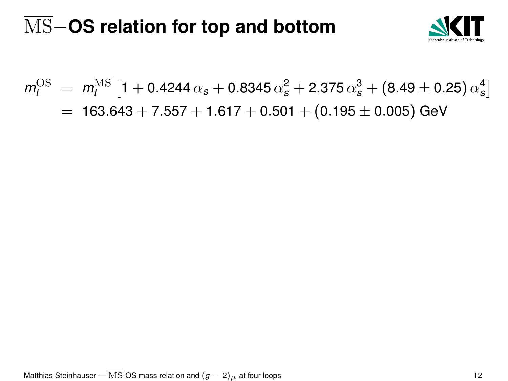# MS−**OS relation for top and bottom**



$$
m_t^{\text{OS}} = m_t^{\overline{\text{MS}}} \left[ 1 + 0.4244 \alpha_s + 0.8345 \alpha_s^2 + 2.375 \alpha_s^3 + (8.49 \pm 0.25) \alpha_s^4 \right]
$$
  
= 163.643 + 7.557 + 1.617 + 0.501 + (0.195 \pm 0.005) GeV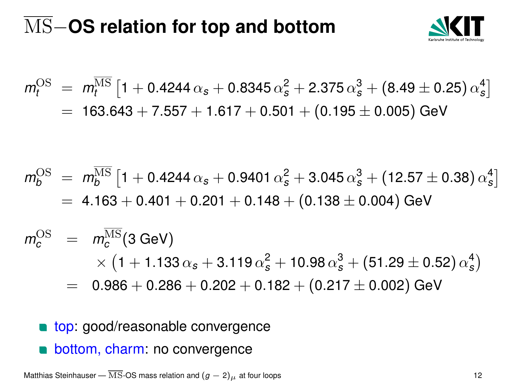# MS−**OS relation for top and bottom**



$$
m_t^{\text{OS}} = m_t^{\overline{\text{MS}}} \left[ 1 + 0.4244 \alpha_s + 0.8345 \alpha_s^2 + 2.375 \alpha_s^3 + (8.49 \pm 0.25) \alpha_s^4 \right]
$$
  
= 163.643 + 7.557 + 1.617 + 0.501 + (0.195 \pm 0.005) GeV

$$
m_b^{\text{OS}} = m_b^{\overline{\text{MS}}} \left[ 1 + 0.4244 \alpha_s + 0.9401 \alpha_s^2 + 3.045 \alpha_s^3 + (12.57 \pm 0.38) \alpha_s^4 \right]
$$
  
= 4.163 + 0.401 + 0.201 + 0.148 + (0.138 \pm 0.004) GeV

$$
m_c^{\text{OS}} = m_c^{\overline{\text{MS}}}(3 \text{ GeV})
$$
  
× (1 + 1.133  $\alpha_s$  + 3.119  $\alpha_s^2$  + 10.98  $\alpha_s^3$  + (51.29 ± 0.52)  $\alpha_s^4$ )  
= 0.986 + 0.286 + 0.202 + 0.182 + (0.217 ± 0.002) GeV

- top: good/reasonable convergence
- bottom, charm: no convergence

Matthias Steinhauser — MS-OS mass relation and  $(g - 2)_{\mu}$  at four loops 12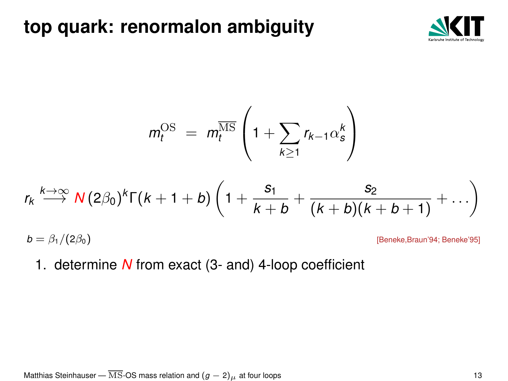#### **top quark: renormalon ambiguity**



$$
m_t^{\text{OS}} = m_t^{\overline{\text{MS}}} \left( 1 + \sum_{k \geq 1} r_{k-1} \alpha_s^k \right)
$$

$$
r_k \stackrel{k\to\infty}{\longrightarrow} N(2\beta_0)^k \Gamma(k+1+b) \left(1+\frac{s_1}{k+b}+\frac{s_2}{(k+b)(k+b+1)}+\ldots\right)
$$

 $b = \beta_1/(2\beta_0)$  [Beneke,Braun'94; Beneke'95]

1. determine *N* from exact (3- and) 4-loop coefficient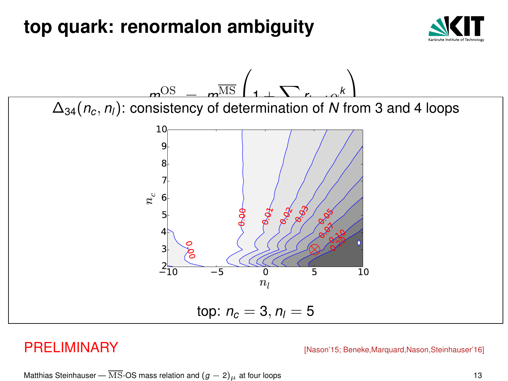#### **top quark: renormalon ambiguity**





PRELIMINARY **[Nason'15: Beneke,Marquard,Nason,Steinhauser'16**]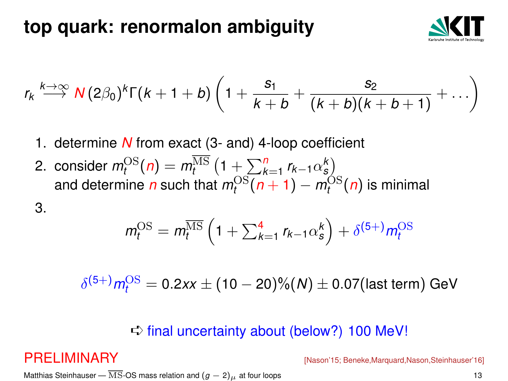#### **top quark: renormalon ambiguity**



$$
r_k \stackrel{k \to \infty}{\longrightarrow} \mathsf{N}(2\beta_0)^k \Gamma(k+1+b) \left(1+\frac{s_1}{k+b}+\frac{s_2}{(k+b)(k+b+1)}+\ldots\right)
$$

- 1. determine *N* from exact (3- and) 4-loop coefficient
- 2. consider  $m_t^{\text{OS}}(n) = m_t^{\overline{\text{MS}}}(1 + \sum_{\alpha}^n r_{k-1} r_{\alpha})^k$ and determine  $n$  such that  $m_t^{\text{OS}}(n+1) - m_t^{\text{OS}}(n)$  is minimal

3.

$$
m_t^{\text{OS}} = m_t^{\overline{\text{MS}}}\left(1 + \sum_{k=1}^4 r_{k-1} \alpha_s^k\right) + \delta^{(5+)} m_t^{\text{OS}}
$$

$$
\delta^{(5+)} m_t^{\rm OS} = 0.2xx \pm (10-20)\%(N) \pm 0.07 \text{(last term)} \text{ GeV}
$$

#### $\Rightarrow$  final uncertainty about (below?) 100 MeV!

PRELIMINARY **[Nason'15; Beneke,Marquard,Nason,Steinhauser'16**]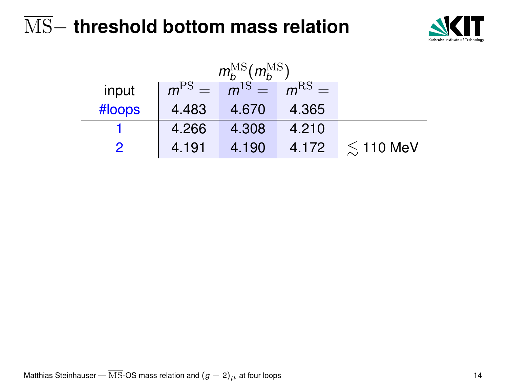

| $m_h^{\rm MS}(m_h^{\rm MS})$ |       |                     |       |                      |  |
|------------------------------|-------|---------------------|-------|----------------------|--|
| input                        |       | $mPS = m1S = mRS =$ |       |                      |  |
| #loops                       | 4.483 | 4.670               | 4.365 |                      |  |
|                              | 4.266 | 4.308               | 4.210 |                      |  |
|                              | 4.191 | 4.190               |       | 4.172 $\leq 110$ MeV |  |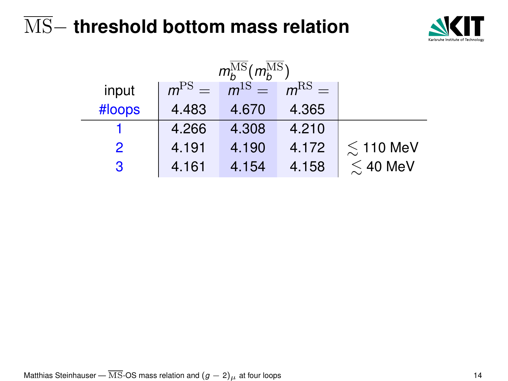

| $m_h^{\rm MS}(m_h^{\rm MS})$ |               |            |            |            |                    |
|------------------------------|---------------|------------|------------|------------|--------------------|
|                              | input         | $m^{PS} =$ | $m^{1S} =$ | $m^{RS} =$ |                    |
|                              | #loops        | 4.483      | 4.670      | 4.365      |                    |
|                              |               | 4.266      | 4.308      | 4.210      |                    |
|                              | $\mathcal{P}$ | 4.191      | 4.190      | 4.172      | $\lesssim$ 110 MeV |
|                              | 3             | 4.161      | 4.154      | 4.158      | $\lesssim$ 40 MeV  |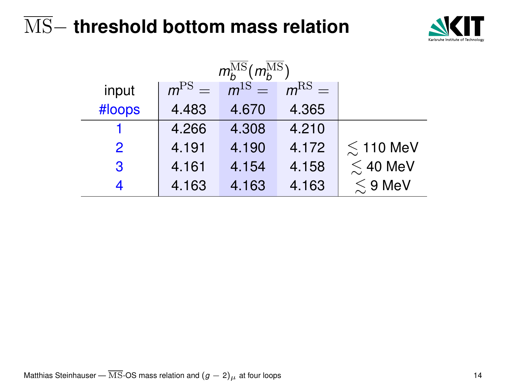

| $m_h^{\rm MS}(m_h^{\rm MS})$ |            |            |         |                    |  |
|------------------------------|------------|------------|---------|--------------------|--|
| input                        | $m^{PS} =$ | $m^{1S} =$ | $mRS$ = |                    |  |
| #loops                       | 4.483      | 4.670      | 4.365   |                    |  |
|                              | 4.266      | 4.308      | 4.210   |                    |  |
| 2                            | 4.191      | 4.190      | 4.172   | $\lesssim$ 110 MeV |  |
| 3                            | 4.161      | 4.154      | 4.158   | $\lesssim$ 40 MeV  |  |
|                              | 4.163      | 4.163      | 4.163   | $\lesssim$ 9 MeV   |  |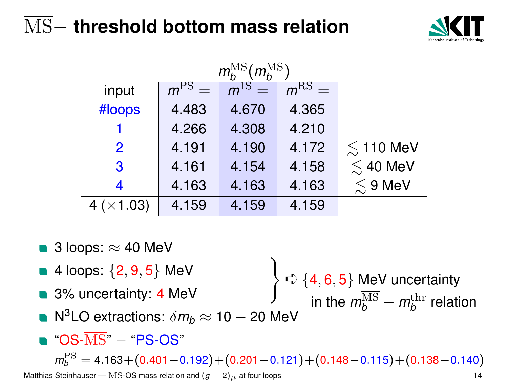

| $m_{h}^{\text{MS}}(m_{h}^{\overline{\text{MS}}})$ |         |            |         |                    |  |
|---------------------------------------------------|---------|------------|---------|--------------------|--|
| input                                             | $mPS =$ | $m^{1S} =$ | $mRS$ = |                    |  |
| #loops                                            | 4.483   | 4.670      | 4.365   |                    |  |
|                                                   | 4.266   | 4.308      | 4.210   |                    |  |
| 2                                                 | 4.191   | 4.190      | 4.172   | $\lesssim$ 110 MeV |  |
| 3                                                 | 4.161   | 4.154      | 4.158   | $\lesssim$ 40 MeV  |  |
| 4                                                 | 4.163   | 4.163      | 4.163   | $\lesssim$ 9 MeV   |  |
| 4 $(\times 1.03)$                                 | 4.159   | 4.159      | 4.159   |                    |  |

- 3 loops:  $\approx$  40 MeV
- **4 loops:**  $\{2, 9, 5\}$  MeV
- 3% uncertainty: 4 MeV
- $\lambda$  $\Rightarrow$  {4, 6, 5} MeV uncertainty in the  $m_b^{\rm MS} - m_b^{\rm thr}$  relation
- $\mathsf{N}^3\mathsf{LO}$  extractions:  $\delta m_b\approx\mathtt{10}-\mathtt{20}$  MeV
- $\blacksquare$  "OS- $\overline{\text{MS}}$ "  $-$  "PS-OS"

*m*<sub>b</sub><sup>PS</sup> = 4.163+(0.401−0.192)+(0.201−0.121)+(0.148−0.115)+(0.138−0.140) Matthias Steinhauser —  $\overline{\text{MS}}$ -OS mass relation and  $(g - 2)_{\mu}$  at four loops 14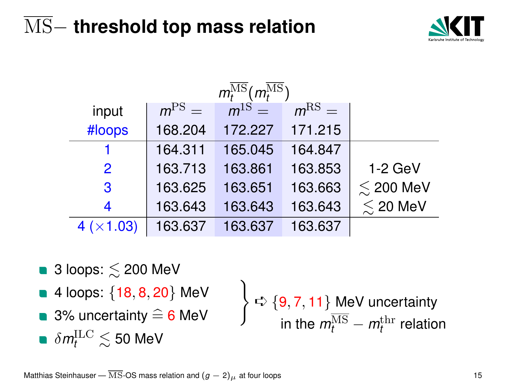

| $m_t^{\overline{\mathrm{MS}}}$ ( $m_t^{\overline{\mathrm{MS}}}$ ) |            |            |            |                    |  |
|-------------------------------------------------------------------|------------|------------|------------|--------------------|--|
| input                                                             | $m^{PS} =$ | $m^{1S}$ = | $m^{RS} =$ |                    |  |
| #loops                                                            | 168.204    | 172.227    | 171.215    |                    |  |
|                                                                   | 164.311    | 165.045    | 164.847    |                    |  |
| 2                                                                 | 163.713    | 163.861    | 163.853    | $1-2$ GeV          |  |
| 3                                                                 | 163.625    | 163.651    | 163.663    | $\lesssim$ 200 MeV |  |
| 4                                                                 | 163.643    | 163.643    | 163.643    | $\lesssim$ 20 MeV  |  |
| 4 (×1.03)                                                         | 163.637    | 163.637    | 163.637    |                    |  |

- $\blacksquare$  3 loops:  $\leq$  200 MeV
- $\blacksquare$  4 loops:  $\{18, 8, 20\}$  MeV<br> $\blacksquare$  3% uncertainty  $\widehat{=}$  6 MeV
- **3%** uncertainty  $\hat{=}$  6 MeV
- $\delta m_t^{\text{ILC}} \lesssim 50$  MeV

 $\lambda$  $\Rightarrow$  {9, 7, 11} MeV uncertainty in the  $m_t^{\rm MS} - m_t^{\rm thr}$  relation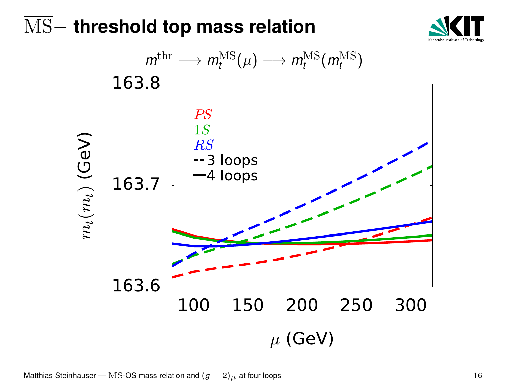

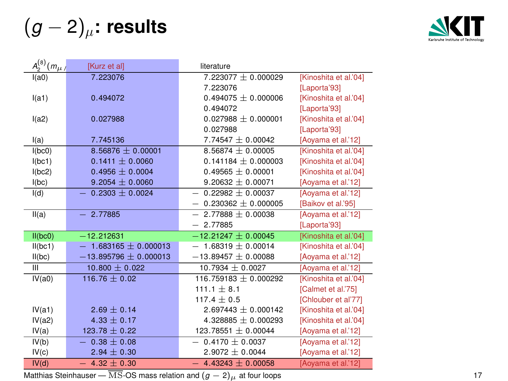(*g* − 2)µ**: results**



| $A_2^{(8)}(m_\mu)$ | [Kurz et al]              | literature                 |                       |
|--------------------|---------------------------|----------------------------|-----------------------|
| I(a0)              | 7.223076                  | $7.223077 \pm 0.000029$    | [Kinoshita et al.'04] |
|                    |                           | 7.223076                   | [Laporta'93]          |
| I(a1)              | 0.494072                  | 0.494075 $\pm$ 0.000006    | [Kinoshita et al.'04] |
|                    |                           | 0.494072                   | [Laporta'93]          |
| I(a2)              | 0.027988                  | $0.027988 + 0.000001$      | [Kinoshita et al.'04] |
|                    |                           | 0.027988                   | [Laporta'93]          |
| I(a)               | 7.745136                  | $7.74547 \pm 0.00042$      | [Aoyama et al.'12]    |
| I(bc0)             | $8.56876 \pm 0.00001$     | $8.56874 \pm 0.00005$      | [Kinoshita et al.'04] |
| I(bc1)             | $0.1411 \pm 0.0060$       | $0.141184 \pm 0.000003$    | [Kinoshita et al.'04] |
| I(bc2)             | $0.4956 \pm 0.0004$       | $0.49565 \pm 0.00001$      | [Kinoshita et al.'04] |
| I(bc)              | $9.2054 \pm 0.0060$       | $9.20632 + 0.00071$        | [Aoyama et al.'12]    |
| I(d)               | $0.2303 \pm 0.0024$       | $0.22982 + 0.00037$<br>$-$ | [Aoyama et al.'12]    |
|                    |                           | $0.230362 + 0.000005$      | [Baikov et al.'95]    |
| II(a)              | $-2.77885$                | $2.77888 \pm 0.00038$      | [Aoyama et al.'12]    |
|                    |                           | $-2.77885$                 | [Laporta'93]          |
| II(bc0)            | $-12.212631$              | $-12.21247 + 0.00045$      | [Kinoshita et al.'04] |
| II(bc1)            | $-1.683165 \pm 0.000013$  | $1.68319 \pm 0.00014$      | [Kinoshita et al.'04] |
| II(bc)             | $-13.895796 \pm 0.000013$ | $-13.89457 \pm 0.00088$    | [Aoyama et al.'12]    |
| Ш                  | $10.800 \pm 0.022$        | $10.7934 \pm 0.0027$       | [Aoyama et al.'12]    |
| IV(a0)             | 116.76 $\pm$ 0.02         | $116.759183 + 0.000292$    | [Kinoshita et al.'04] |
|                    |                           | $111.1 \pm 8.1$            | [Calmet et al.'75]    |
|                    |                           | $117.4 \pm 0.5$            | [Chlouber et al'77]   |
| IV(a1)             | $2.69 \pm 0.14$           | $2.697443 \pm 0.000142$    | [Kinoshita et al.'04] |
| IV(a2)             | $4.33 \pm 0.17$           | 4.328885 $\pm$ 0.000293    | [Kinoshita et al.'04] |
| IV(a)              | $123.78 \pm 0.22$         | 123.78551 ± 0.00044        | [Aoyama et al.'12]    |
| IV(b)              | $0.38 \pm 0.08$           | $0.4170 \pm 0.0037$        | [Aoyama et al.'12]    |
| IV(c)              | $2.94 \pm 0.30$           | $2.9072 + 0.0044$          | [Aoyama et al.'12]    |
| IV(d)              | $-4.32 \pm 0.30$          | $4.43243 + 0.00058$        | [Aoyama et al.'12]    |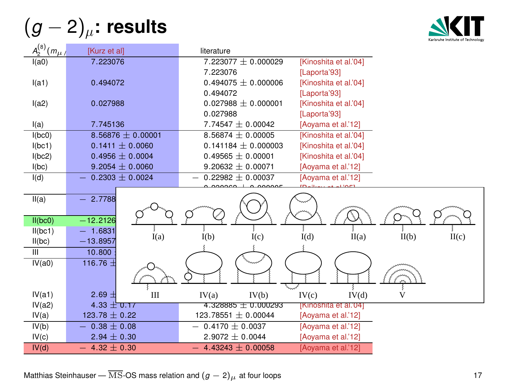(*g* − 2)µ**: results**



| $A_2^{(8)}(m_\mu)$ | [Kurz et al]        | literature                                       |
|--------------------|---------------------|--------------------------------------------------|
| I(a0)              | 7.223076            | 7.223077 ± 0.000029<br>[Kinoshita et al.'04]     |
|                    |                     | 7.223076<br>[Laporta'93]                         |
| I(a1)              | 0.494072            | $0.494075 \pm 0.000006$<br>[Kinoshita et al.'04] |
|                    |                     | 0.494072<br>[Laporta'93]                         |
| I(a2)              | 0.027988            | $0.027988 + 0.000001$<br>[Kinoshita et al.'04]   |
|                    |                     | 0.027988<br>[Laporta'93]                         |
| I(a)               | 7.745136            | 7.74547 $\pm$ 0.00042<br>[Aoyama et al.'12]      |
| I(bc0)             | $8.56876 + 0.00001$ | $8.56874 + 0.00005$<br>[Kinoshita et al.'04]     |
| I(bc1)             | $0.1411 \pm 0.0060$ | $0.141184 \pm 0.000003$<br>[Kinoshita et al.'04] |
| I(bc2)             | $0.4956 \pm 0.0004$ | $0.49565 \pm 0.00001$<br>[Kinoshita et al.'04]   |
| I(bc)              | $9.2054 \pm 0.0060$ | 9.20632 $\pm$ 0.00071<br>[Aoyama et al.'12]      |
| I(d)               | $0.2303 \pm 0.0024$ | $0.22982 + 0.00037$<br>[Aoyama et al.'12]        |
|                    |                     |                                                  |
| II(a)              | $-2.7788$           |                                                  |
|                    |                     |                                                  |
| II(bc0)            | $-12.2126$          |                                                  |
| II(bc1)            | $-1.6831$<br>I(a)   | I(b)<br>II(c)<br>I(c)<br>I(d)<br>II(a)<br>II(b)  |
| II(bc)             | $-13.8957$          |                                                  |
| $\mathbb{H}$       | 10.800              |                                                  |
| IV(a0)             | 116.76 ±            |                                                  |
|                    |                     |                                                  |
|                    |                     |                                                  |
| IV(a1)             | $2.69 \pm$<br>Ш     | IV(b)<br>IV(c)<br>IV(d)<br>v<br>IV(a)            |
| IV(a2)             | $4.33 \pm 0.17$     | 4.328885 $\pm$ 0.000293<br>[Kinoshita et al.'04] |
| IV(a)              | 123.78 $\pm$ 0.22   | 123.78551 ± 0.00044<br>[Aoyama et al.'12]        |
| IV(b)              | $0.38 \pm 0.08$     | $0.4170 \pm 0.0037$<br>[Aoyama et al.'12]        |
| IV(c)              | $2.94 \pm 0.30$     | $2.9072 + 0.0044$<br>[Aoyama et al.'12]          |
| IV(d)              | 4.32 $\pm$ 0.30     | 4.43243 $\pm$ 0.00058<br>[Aoyama et al.'12]      |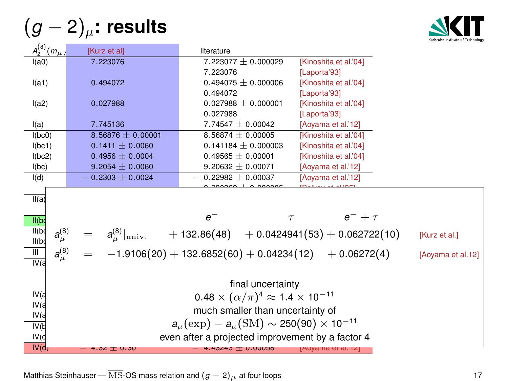(*g* − 2)µ**: results**

 $(a)$ 



| $A_2^{(0)}(m_{\mu})$                             | [Kurz et al]                                              | literature                                                                  |                       |                   |  |
|--------------------------------------------------|-----------------------------------------------------------|-----------------------------------------------------------------------------|-----------------------|-------------------|--|
| I(a0)                                            | 7.223076                                                  | $7.223077 + 0.000029$                                                       | [Kinoshita et al.'04] |                   |  |
|                                                  |                                                           | 7.223076                                                                    | [Laporta'93]          |                   |  |
| I(a1)                                            | 0.494072                                                  | $0.494075 + 0.000006$                                                       | [Kinoshita et al.'04] |                   |  |
|                                                  |                                                           | 0.494072                                                                    | [Laporta'93]          |                   |  |
| I(a2)                                            | 0.027988                                                  | $0.027988 + 0.000001$                                                       | [Kinoshita et al.'04] |                   |  |
|                                                  |                                                           | 0.027988                                                                    | [Laporta'93]          |                   |  |
| I(a)                                             | 7.745136                                                  | $7.74547 \pm 0.00042$                                                       | [Aoyama et al.'12]    |                   |  |
| I(bc0)                                           | $8.56876 \pm 0.00001$                                     | $8.56874 \pm 0.00005$                                                       | [Kinoshita et al.'04] |                   |  |
| I(bc1)                                           | $0.1411 \pm 0.0060$                                       | $0.141184 \pm 0.000003$                                                     | [Kinoshita et al.'04] |                   |  |
| I(bc2)                                           | $0.4956 \pm 0.0004$                                       | $0.49565 \pm 0.00001$                                                       | [Kinoshita et al.'04] |                   |  |
| I(bc)                                            | $9.2054 \pm 0.0060$                                       | 9.20632 $\pm$ 0.00071                                                       | [Aoyama et al.'12]    |                   |  |
| I(d)                                             | $0.2303 + 0.0024$                                         | $0.22982 + 0.00037$                                                         | [Aoyama et al.'12]    |                   |  |
|                                                  |                                                           |                                                                             |                       |                   |  |
| II(a)                                            |                                                           |                                                                             |                       |                   |  |
|                                                  |                                                           | $e^-$<br>$\tau$                                                             | $e^- + \tau$          |                   |  |
| II(bd)                                           |                                                           |                                                                             |                       |                   |  |
| II(bq)<br>$a^{(8)}_{\mu}$<br>II(b]               |                                                           | $a_{\mu}^{(8)} _{\text{univ.}}$ + 132.86(48) + 0.0424941(53) + 0.062722(10) |                       | [Kurz et al.]     |  |
| $a_\mu^{(8)}$<br>$\overline{\mathbb{H}}$<br>IV(a |                                                           | $-1.9106(20) + 132.6852(60) + 0.04234(12) + 0.06272(4)$                     |                       | [Aoyama et al.12] |  |
|                                                  |                                                           | final uncertainty                                                           |                       |                   |  |
| IV(a                                             |                                                           |                                                                             |                       |                   |  |
| IV <sub>(a</sub>                                 | $0.48 \times (\alpha/\pi)^4 \approx 1.4 \times 10^{-11}$  |                                                                             |                       |                   |  |
| IV(a                                             | much smaller than uncertainty of                          |                                                                             |                       |                   |  |
| IV(b)                                            | $a_u(\exp) - a_u(\text{SM}) \sim 250(90) \times 10^{-11}$ |                                                                             |                       |                   |  |
| IV(d                                             | even after a projected improvement by a factor 4          |                                                                             |                       |                   |  |
| IV(d)                                            |                                                           |                                                                             |                       |                   |  |
|                                                  | 4.32 ± 0.30                                               | 4.43243 I U.UUU38                                                           | jAoyama et al. i∠j    |                   |  |